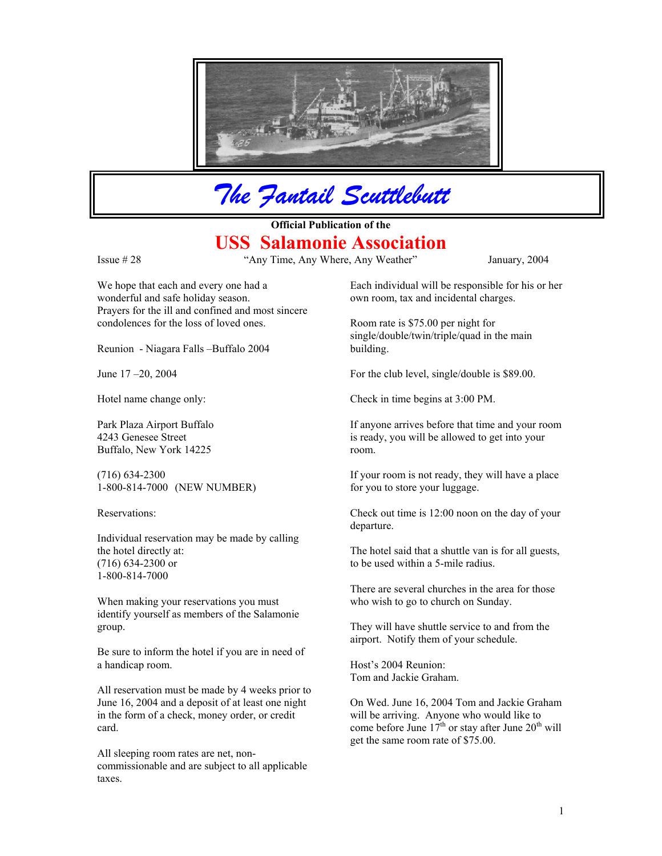

*The Fantail Scuttlebutt*

**Official Publication of the** 

## **USS Salamonie Association**

Issue # 28 "Any Time, Any Where, Any Weather" January, 2004

We hope that each and every one had a wonderful and safe holiday season. Prayers for the ill and confined and most sincere condolences for the loss of loved ones. Room rate is \$75.00 per night for

Reunion - Niagara Falls –Buffalo 2004 building.

4243 Genesee Street Buffalo, New York 14225

1-800-814-7000 (NEW NUMBER) for you to store your luggage.

Individual reservation may be made by calling (716) 634-2300 or to be used within a 5-mile radius. 1-800-814-7000

When making your reservations you must who wish to go to church on Sunday. identify yourself as members of the Salamonie group. They will have shuttle service to and from the

Be sure to inform the hotel if you are in need of a handicap room. Host's 2004 Reunion:

All reservation must be made by 4 weeks prior to June 16, 2004 and a deposit of at least one night in the form of a check, money order, or credit card.

All sleeping room rates are net, noncommissionable and are subject to all applicable taxes.

Each individual will be responsible for his or her own room, tax and incidental charges.

single/double/twin/triple/quad in the main

June  $17 - 20$ ,  $2004$  For the club level, single/double is \$89.00.

Hotel name change only: Check in time begins at 3:00 PM.

Park Plaza Airport Buffalo If anyone arrives before that time and your room is ready, you will be allowed to get into your room.

(716) 634-2300 If your room is not ready, they will have a place

Reservations: Check out time is 12:00 noon on the day of your departure.

the hotel directly at: The hotel said that a shuttle van is for all guests,

There are several churches in the area for those

airport. Notify them of your schedule.

Tom and Jackie Graham.

On Wed. June 16, 2004 Tom and Jackie Graham will be arriving. Anyone who would like to come before June  $17<sup>th</sup>$  or stay after June  $20<sup>th</sup>$  will get the same room rate of \$75.00.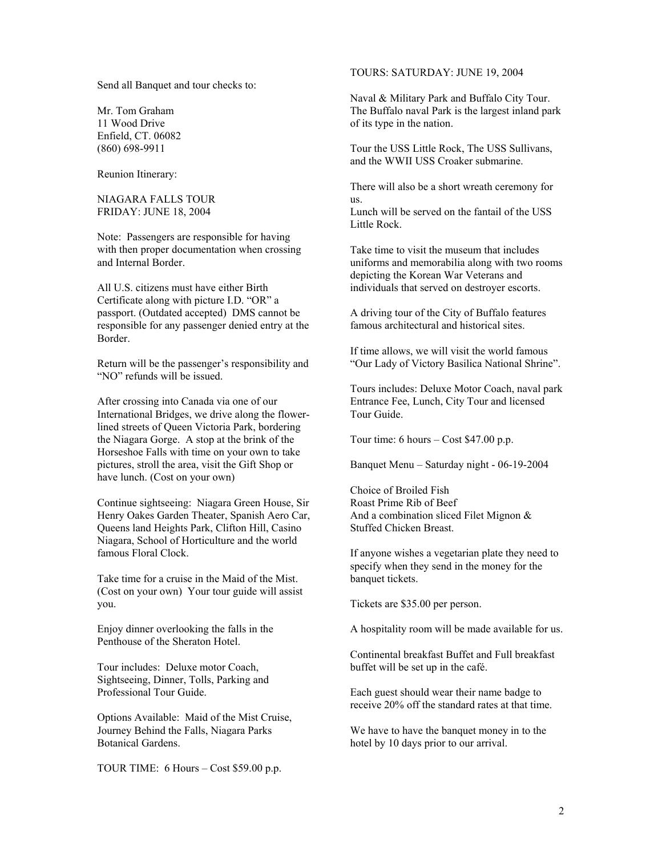Send all Banquet and tour checks to:

Enfield, CT. 06082

Reunion Itinerary:

NIAGARA FALLS TOUR us. FRIDAY: JUNE 18, 2004 Lunch will be served on the fantail of the USS

Note: Passengers are responsible for having with then proper documentation when crossing and Internal Border.

Certificate along with picture I.D. "OR" a passport. (Outdated accepted) DMS cannot be responsible for any passenger denied entry at the Border.

"NO" refunds will be issued.

After crossing into Canada via one of our International Bridges, we drive along the flowerlined streets of Queen Victoria Park, bordering the Niagara Gorge. A stop at the brink of the Horseshoe Falls with time on your own to take pictures, stroll the area, visit the Gift Shop or have lunch. (Cost on your own)

Continue sightseeing: Niagara Green House, Sir Henry Oakes Garden Theater, Spanish Aero Car, Queens land Heights Park, Clifton Hill, Casino Niagara, School of Horticulture and the world famous Floral Clock.

Take time for a cruise in the Maid of the Mist. banquet tickets. (Cost on your own) Your tour guide will assist you. Tickets are \$35.00 per person.

Enjoy dinner overlooking the falls in the Penthouse of the Sheraton Hotel.

Tour includes: Deluxe motor Coach, buffet will be set up in the café. Sightseeing, Dinner, Tolls, Parking and Professional Tour Guide. Each guest should wear their name badge to

Options Available: Maid of the Mist Cruise, Journey Behind the Falls, Niagara Parks Botanical Gardens.

TOUR TIME: 6 Hours – Cost \$59.00 p.p.

TOURS: SATURDAY: JUNE 19, 2004

Naval & Military Park and Buffalo City Tour. Mr. Tom Graham The Buffalo naval Park is the largest inland park 11 Wood Drive of its type in the nation.

(860) 698-9911 Tour the USS Little Rock, The USS Sullivans, and the WWII USS Croaker submarine.

There will also be a short wreath ceremony for

Little Rock.

Take time to visit the museum that includes uniforms and memorabilia along with two rooms depicting the Korean War Veterans and All U.S. citizens must have either Birth individuals that served on destroyer escorts.

> A driving tour of the City of Buffalo features famous architectural and historical sites.

If time allows, we will visit the world famous Return will be the passenger's responsibility and "Our Lady of Victory Basilica National Shrine".

> Tours includes: Deluxe Motor Coach, naval park Entrance Fee, Lunch, City Tour and licensed Tour Guide.

Tour time: 6 hours – Cost \$47.00 p.p.

Banquet Menu – Saturday night - 06-19-2004

Choice of Broiled Fish Roast Prime Rib of Beef And a combination sliced Filet Mignon & Stuffed Chicken Breast.

If anyone wishes a vegetarian plate they need to specify when they send in the money for the

A hospitality room will be made available for us.

Continental breakfast Buffet and Full breakfast

receive 20% off the standard rates at that time.

We have to have the banquet money in to the hotel by 10 days prior to our arrival.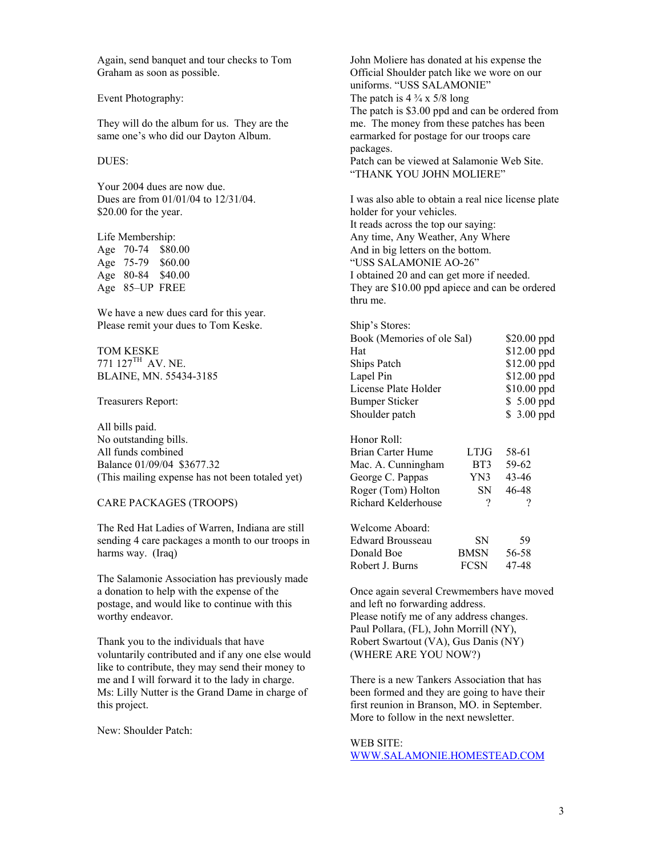Again, send banquet and tour checks to Tom Graham as soon as possible.

They will do the album for us. They are the same one's who did our Dayton Album.

Your 2004 dues are now due.<br>Dues are from 01/01/04 to 12/31/04. \$20.00 for the year. holder for your vehicles.

We have a new dues card for this year. Please remit your dues to Tom Keske.

TOM KESKE  $771$   $127$ <sup>TH</sup> AV, NE.

BLAINE, MN. 55434-3185

Treasurers Report:

All bills paid. No outstanding bills. All funds combined Balance 01/09/04 \$3677.32 (This mailing expense has not been totaled yet)

## CARE PACKAGES (TROOPS)

The Red Hat Ladies of Warren, Indiana are still sending 4 care packages a month to our troops in harms way. (Iraq)

The Salamonie Association has previously made a donation to help with the expense of the postage, and would like to continue with this worthy endeavor.

Thank you to the individuals that have voluntarily contributed and if any one else would like to contribute, they may send their money to me and I will forward it to the lady in charge. Ms: Lilly Nutter is the Grand Dame in charge of this project.

New: Shoulder Patch:

John Moliere has donated at his expense the Official Shoulder patch like we wore on our uniforms. "USS SALAMONIE" Event Photography: The patch is  $4\frac{3}{4} \times 5/8$  long The patch is \$3.00 ppd and can be ordered from me. The money from these patches has been earmarked for postage for our troops care packages. DUES: Patch can be viewed at Salamonie Web Site. "THANK YOU JOHN MOLIERE"

I was also able to obtain a real nice license plate It reads across the top our saying: Life Membership:  $\Delta n_y$  any time, Any Weather, Any Where Age 70-74 \$80.00 And in big letters on the bottom. Age 75-79 \$60.00 "USS SALAMONIE AO-26" Age 80-84 \$40.00 I obtained 20 and can get more if needed. Age 85–UP FREE They are \$10.00 ppd apiece and can be ordered thru me.

| Ship's Stores:                    |      |                                                                                                        |  |
|-----------------------------------|------|--------------------------------------------------------------------------------------------------------|--|
| Book (Memories of ole Sal)<br>Hat |      | \$20.00 ppd<br>\$12.00 ppd<br>\$12.00 ppd<br>$$12.00$ ppd<br>\$10.00 ppd<br>\$ 5.00 ppd<br>\$ 3.00 ppd |  |
|                                   |      |                                                                                                        |  |
| Lapel Pin                         |      |                                                                                                        |  |
| License Plate Holder              |      |                                                                                                        |  |
| <b>Bumper Sticker</b>             |      |                                                                                                        |  |
| Shoulder patch                    |      |                                                                                                        |  |
| Honor Roll:                       |      |                                                                                                        |  |
| Brian Carter Hume                 | LTJG | 58-61                                                                                                  |  |
| Mac. A. Cunningham                | BT3  | 59-62                                                                                                  |  |
| George C. Pappas                  | YN3. | 43-46                                                                                                  |  |
| Roger (Tom) Holton                | SN.  | 46-48                                                                                                  |  |
| Richard Kelderhouse               | ?    | ?                                                                                                      |  |
| $Woloomo$ Aboard                  |      |                                                                                                        |  |

| SN.         | 59    |
|-------------|-------|
| <b>BMSN</b> | 56-58 |
| <b>FCSN</b> | 47-48 |
|             |       |

Once again several Crewmembers have moved and left no forwarding address. Please notify me of any address changes. Paul Pollara, (FL), John Morrill (NY), Robert Swartout (VA), Gus Danis (NY) (WHERE ARE YOU NOW?)

There is a new Tankers Association that has been formed and they are going to have their first reunion in Branson, MO. in September. More to follow in the next newsletter.

## WEB SITE:

[WWW.SALAMONIE.HOMESTEAD.COM](http://www.salamonie.homestead.com/)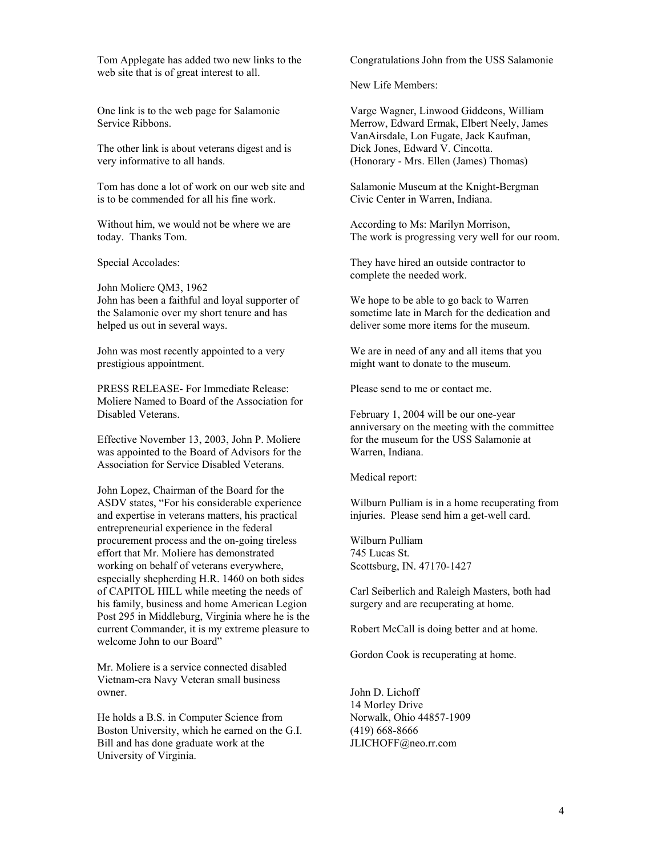Tom Applegate has added two new links to the web site that is of great interest to all.

One link is to the web page for Salamonie Service Ribbons.

The other link is about veterans digest and is very informative to all hands.

Tom has done a lot of work on our web site and is to be commended for all his fine work.

Without him, we would not be where we are today. Thanks Tom.

John Moliere QM3, 1962 John has been a faithful and loyal supporter of the Salamonie over my short tenure and has helped us out in several ways.

John was most recently appointed to a very prestigious appointment.

PRESS RELEASE- For Immediate Release: Please send to me or contact me. Moliere Named to Board of the Association for Disabled Veterans. February 1, 2004 will be our one-year

Effective November 13, 2003, John P. Moliere was appointed to the Board of Advisors for the Association for Service Disabled Veterans.

John Lopez, Chairman of the Board for the ASDV states, "For his considerable experience and expertise in veterans matters, his practical entrepreneurial experience in the federal procurement process and the on-going tireless effort that Mr. Moliere has demonstrated working on behalf of veterans everywhere, especially shepherding H.R. 1460 on both sides of CAPITOL HILL while meeting the needs of his family, business and home American Legion Post 295 in Middleburg, Virginia where he is the current Commander, it is my extreme pleasure to welcome John to our Board"

Mr. Moliere is a service connected disabled Vietnam-era Navy Veteran small business owner. John D. Lichoff

He holds a B.S. in Computer Science from Boston University, which he earned on the G.I. Bill and has done graduate work at the University of Virginia.

Congratulations John from the USS Salamonie

New Life Members:

Varge Wagner, Linwood Giddeons, William Merrow, Edward Ermak, Elbert Neely, James VanAirsdale, Lon Fugate, Jack Kaufman, Dick Jones, Edward V. Cincotta. (Honorary - Mrs. Ellen (James) Thomas)

Salamonie Museum at the Knight-Bergman Civic Center in Warren, Indiana.

According to Ms: Marilyn Morrison, The work is progressing very well for our room.

Special Accolades: They have hired an outside contractor to complete the needed work.

> We hope to be able to go back to Warren sometime late in March for the dedication and deliver some more items for the museum.

We are in need of any and all items that you might want to donate to the museum.

anniversary on the meeting with the committee for the museum for the USS Salamonie at Warren, Indiana.

Medical report:

Wilburn Pulliam is in a home recuperating from injuries. Please send him a get-well card.

Wilburn Pulliam 745 Lucas St. Scottsburg, IN. 47170-1427

Carl Seiberlich and Raleigh Masters, both had surgery and are recuperating at home.

Robert McCall is doing better and at home.

Gordon Cook is recuperating at home.

14 Morley Drive Norwalk, Ohio 44857-1909 (419) 668-8666 JLICHOFF@neo.rr.com